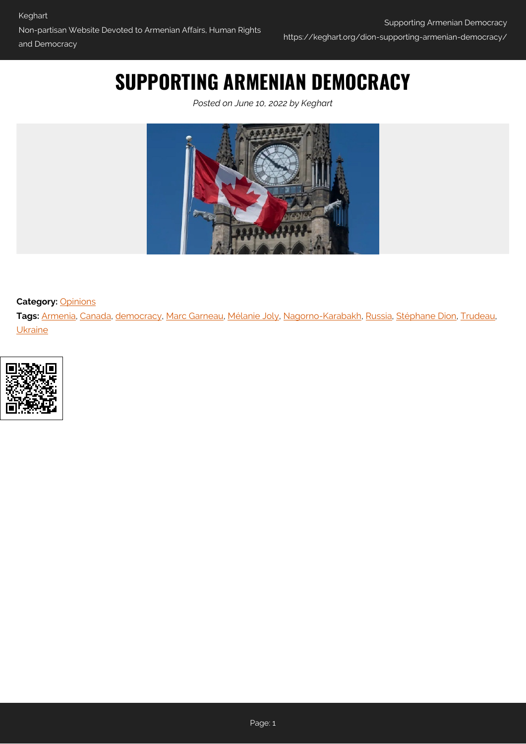# **SUPPORTING ARMENIAN DEMOCRACY**

*Posted on June 10, 2022 by Keghart*



**Category: [Opinions](https://keghart.org/category/opinions/)** 

**Tags:** [Armenia,](https://keghart.org/tag/armenia/) [Canada,](https://keghart.org/tag/canada/) [democracy](https://keghart.org/tag/democracy/), [Marc Garneau](https://keghart.org/tag/marc-garneau/), [Mélanie Joly,](https://keghart.org/tag/melanie-joly/) [Nagorno-Karabakh](https://keghart.org/tag/nagorno-karabakh/), [Russia,](https://keghart.org/tag/russia/) [Stéphane Dion,](https://keghart.org/tag/stephane-dion/) [Trudeau,](https://keghart.org/tag/trudeau/) **[Ukraine](https://keghart.org/tag/ukraine/)** 

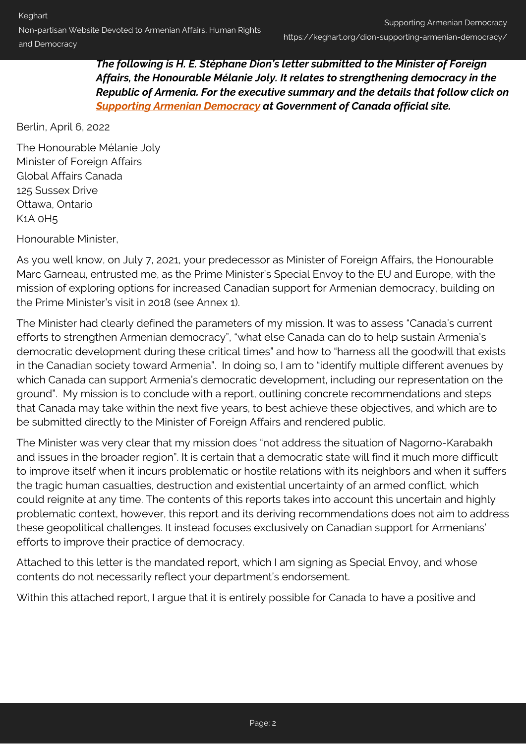*The following is H. E. Stéphane Dion's letter submitted to the Minister of Foreign Affairs, the Honourable Mélanie Joly. It relates to strengthening democracy in the Republic of Armenia. For the executive summary and the details that follow click on [Supporting Armenian Democracy](https://www.international.gc.ca/transparency-transparence/armenia-armenie.aspx?lang=eng#a1) at Government of Canada official site.*

Berlin, April 6, 2022

The Honourable Mélanie Joly Minister of Foreign Affairs Global Affairs Canada 125 Sussex Drive Ottawa, Ontario K1A 0H5

Honourable Minister,

As you well know, on July 7, 2021, your predecessor as Minister of Foreign Affairs, the Honourable Marc Garneau, entrusted me, as the Prime Minister's Special Envoy to the EU and Europe, with the mission of exploring options for increased Canadian support for Armenian democracy, building on the Prime Minister's visit in 2018 (see Annex 1).

The Minister had clearly defined the parameters of my mission. It was to assess "Canada's current efforts to strengthen Armenian democracy", "what else Canada can do to help sustain Armenia's democratic development during these critical times" and how to "harness all the goodwill that exists in the Canadian society toward Armenia". In doing so, I am to "identify multiple different avenues by which Canada can support Armenia's democratic development, including our representation on the ground". My mission is to conclude with a report, outlining concrete recommendations and steps that Canada may take within the next five years, to best achieve these objectives, and which are to be submitted directly to the Minister of Foreign Affairs and rendered public.

The Minister was very clear that my mission does "not address the situation of Nagorno-Karabakh and issues in the broader region". It is certain that a democratic state will find it much more difficult to improve itself when it incurs problematic or hostile relations with its neighbors and when it suffers the tragic human casualties, destruction and existential uncertainty of an armed conflict, which could reignite at any time. The contents of this reports takes into account this uncertain and highly problematic context, however, this report and its deriving recommendations does not aim to address these geopolitical challenges. It instead focuses exclusively on Canadian support for Armenians' efforts to improve their practice of democracy.

Attached to this letter is the mandated report, which I am signing as Special Envoy, and whose contents do not necessarily reflect your department's endorsement.

Within this attached report, I argue that it is entirely possible for Canada to have a positive and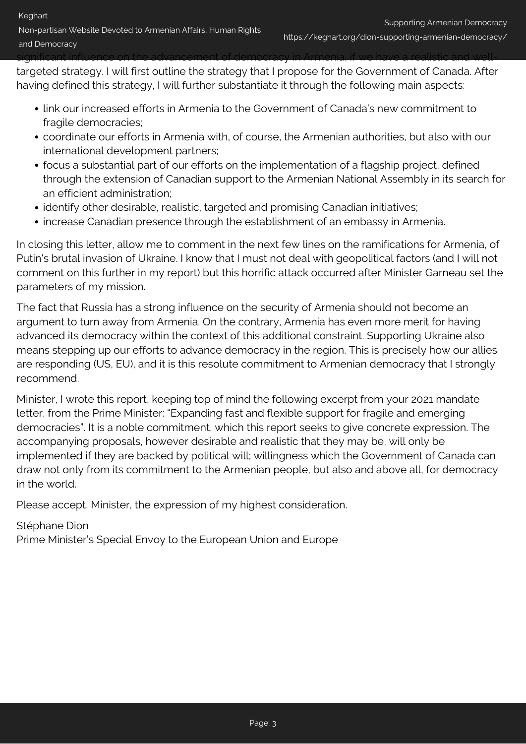targeted strategy. I will first outline the strategy that I propose for the Government of Canada. After having defined this strategy, I will further substantiate it through the following main aspects:

significant influence on the advancement of democracy in Armenia, if we have a realistic and well-

- link our increased efforts in Armenia to the Government of Canada's new commitment to fragile democracies;
- coordinate our efforts in Armenia with, of course, the Armenian authorities, but also with our international development partners;
- focus a substantial part of our efforts on the implementation of a flagship project, defined through the extension of Canadian support to the Armenian National Assembly in its search for an efficient administration;
- identify other desirable, realistic, targeted and promising Canadian initiatives;
- increase Canadian presence through the establishment of an embassy in Armenia.

In closing this letter, allow me to comment in the next few lines on the ramifications for Armenia, of Putin's brutal invasion of Ukraine. I know that I must not deal with geopolitical factors (and I will not comment on this further in my report) but this horrific attack occurred after Minister Garneau set the parameters of my mission.

The fact that Russia has a strong influence on the security of Armenia should not become an argument to turn away from Armenia. On the contrary, Armenia has even more merit for having advanced its democracy within the context of this additional constraint. Supporting Ukraine also means stepping up our efforts to advance democracy in the region. This is precisely how our allies are responding (US, EU), and it is this resolute commitment to Armenian democracy that I strongly recommend.

Minister, I wrote this report, keeping top of mind the following excerpt from your 2021 mandate letter, from the Prime Minister: "Expanding fast and flexible support for fragile and emerging democracies". It is a noble commitment, which this report seeks to give concrete expression. The accompanying proposals, however desirable and realistic that they may be, will only be implemented if they are backed by political will; willingness which the Government of Canada can draw not only from its commitment to the Armenian people, but also and above all, for democracy in the world.

Please accept, Minister, the expression of my highest consideration.

#### Stéphane Dion

Prime Minister's Special Envoy to the European Union and Europe